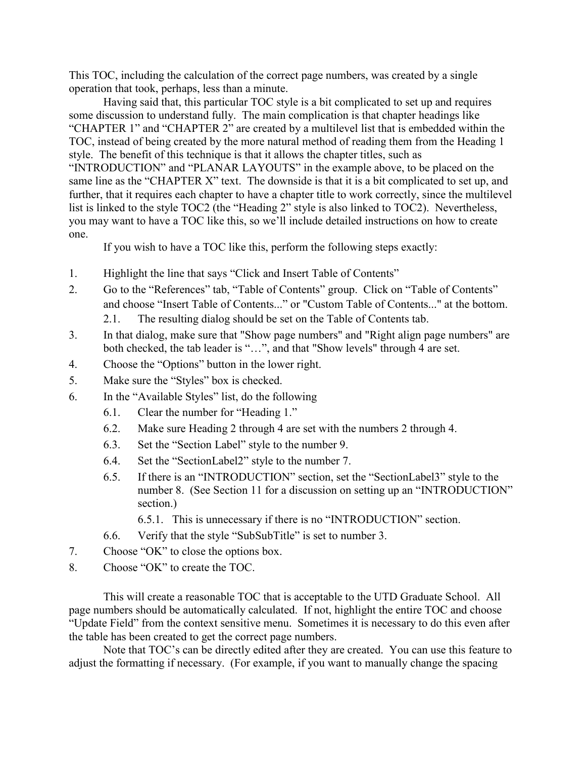This TOC, including the calculation of the correct page numbers, was created by a single operation that took, perhaps, less than a minute.

Having said that, this particular TOC style is a bit complicated to set up and requires some discussion to understand fully. The main complication is that chapter headings like "CHAPTER 1" and "CHAPTER 2" are created by a multilevel list that is embedded within the TOC, instead of being created by the more natural method of reading them from the Heading 1 style. The benefit of this technique is that it allows the chapter titles, such as "INTRODUCTION" and "PLANAR LAYOUTS" in the example above, to be placed on the same line as the "CHAPTER X" text. The downside is that it is a bit complicated to set up, and further, that it requires each chapter to have a chapter title to work correctly, since the multilevel list is linked to the style TOC2 (the "Heading 2" style is also linked to TOC2). Nevertheless, you may want to have a TOC like this, so we'll include detailed instructions on how to create one.

If you wish to have a TOC like this, perform the following steps exactly:

- 1. Highlight the line that says "Click and Insert Table of Contents"
- 2. Go to the "References" tab, "Table of Contents" group. Click on "Table of Contents" and choose "Insert Table of Contents..." or "Custom Table of Contents..." at the bottom.
	- 2.1. The resulting dialog should be set on the Table of Contents tab.
- 3. In that dialog, make sure that "Show page numbers" and "Right align page numbers" are both checked, the tab leader is "…", and that "Show levels" through 4 are set.
- 4. Choose the "Options" button in the lower right.
- 5. Make sure the "Styles" box is checked.
- 6. In the "Available Styles" list, do the following
	- 6.1. Clear the number for "Heading 1."
	- 6.2. Make sure Heading 2 through 4 are set with the numbers 2 through 4.
	- 6.3. Set the "Section Label" style to the number 9.
	- 6.4. Set the "SectionLabel2" style to the number 7.
	- 6.5. If there is an "INTRODUCTION" section, set the "SectionLabel3" style to the number 8. (See Section 11 for a discussion on setting up an "INTRODUCTION" section.)
		- 6.5.1. This is unnecessary if there is no "INTRODUCTION" section.
	- 6.6. Verify that the style "SubSubTitle" is set to number 3.
- 7. Choose "OK" to close the options box.
- 8. Choose "OK" to create the TOC.

This will create a reasonable TOC that is acceptable to the UTD Graduate School. All page numbers should be automatically calculated. If not, highlight the entire TOC and choose "Update Field" from the context sensitive menu. Sometimes it is necessary to do this even after the table has been created to get the correct page numbers.

Note that TOC's can be directly edited after they are created. You can use this feature to adjust the formatting if necessary. (For example, if you want to manually change the spacing